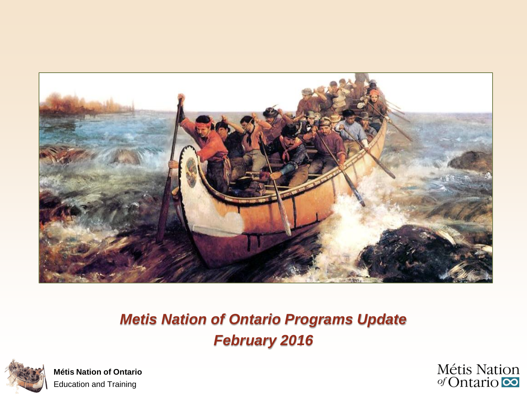

#### *Metis Nation of Ontario Programs Update February 2016*



**Métis Nation of Ontario** Education and Training

Métis Nation  $\sigma$ Cntario  $\infty$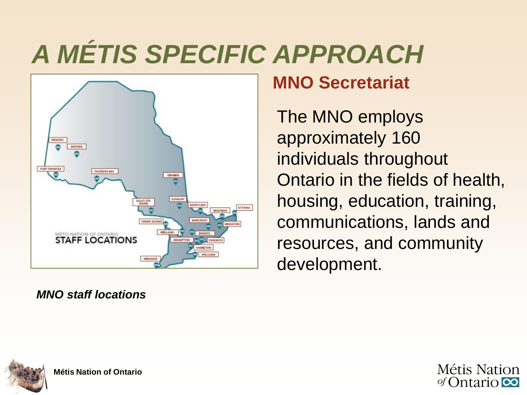# *A MÉTIS SPECIFIC APPROACH*



#### *MNO staff locations*

## **MNO Secretariat**

The MNO employs approximately 160 individuals throughout Ontario in the fields of health, housing, education, training, communications, lands and resources, and community development.



**Métis Nation of Ontario**

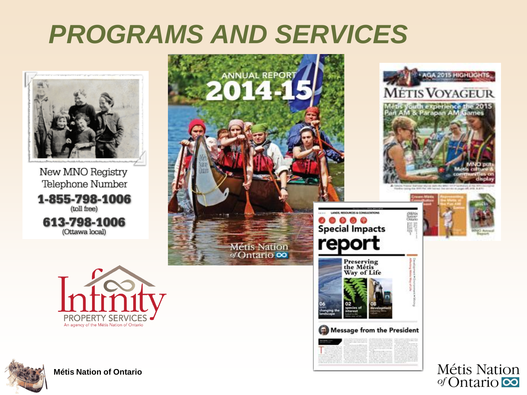## *PROGRAMS AND SERVICES*

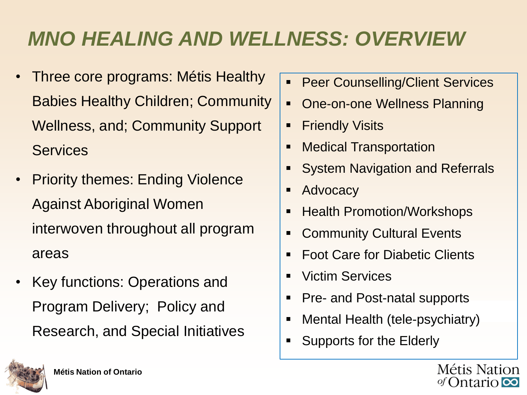## *MNO HEALING AND WELLNESS: OVERVIEW*

- Three core programs: Métis Healthy Babies Healthy Children; Community Wellness, and; Community Support **Services**
- Priority themes: Ending Violence Against Aboriginal Women interwoven throughout all program areas
- Key functions: Operations and Program Delivery; Policy and Research, and Special Initiatives
- **Peer Counselling/Client Services**
- One-on-one Wellness Planning
- **Fiendly Visits**
- Medical Transportation
- System Navigation and Referrals
- Advocacy
- Health Promotion/Workshops
- Community Cultural Events
- Foot Care for Diabetic Clients
- Victim Services
- Pre- and Post-natal supports
- Mental Health (tele-psychiatry)
- Supports for the Elderly



Métis Nation *of* Ontario **co**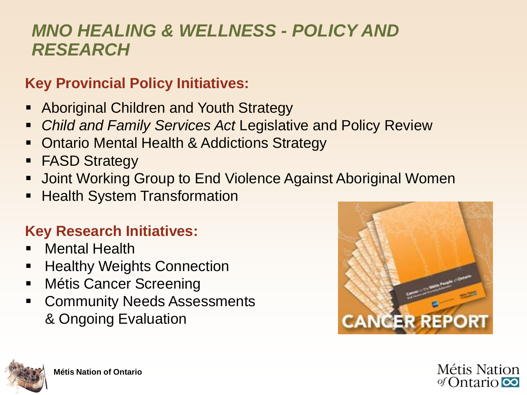### *MNO HEALING & WELLNESS - POLICY AND RESEARCH*

#### **Key Provincial Policy Initiatives:**

- Aboriginal Children and Youth Strategy
- *Child and Family Services Act* Legislative and Policy Review
- Ontario Mental Health & Addictions Strategy
- **FASD Strategy**
- **-** Joint Working Group to End Violence Against Aboriginal Women
- Health System Transformation

#### **Key Research Initiatives:**

- Mental Health
- Healthy Weights Connection
- **-** Métis Cancer Screening
- **EXECOMMUNITY Needs Assessments** & Ongoing Evaluation





**Métis Nation** of Ontario  $\infty$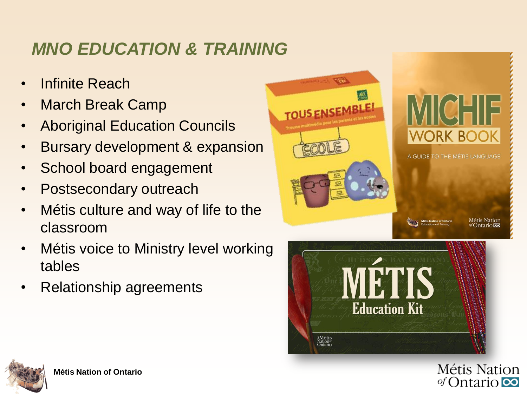## *MNO EDUCATION & TRAINING*

- **Infinite Reach**
- March Break Camp
- Aboriginal Education Councils
- Bursary development & expansion
- School board engagement
- Postsecondary outreach
- Métis culture and way of life to the classroom
- **Métis voice to Ministry level working** tables
- Relationship agreements





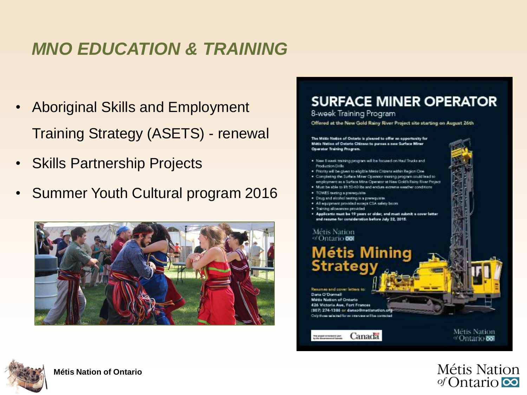## *MNO EDUCATION & TRAINING*

- Aboriginal Skills and Employment Training Strategy (ASETS) - renewal
- Skills Partnership Projects
- Summer Youth Cultural program 2016







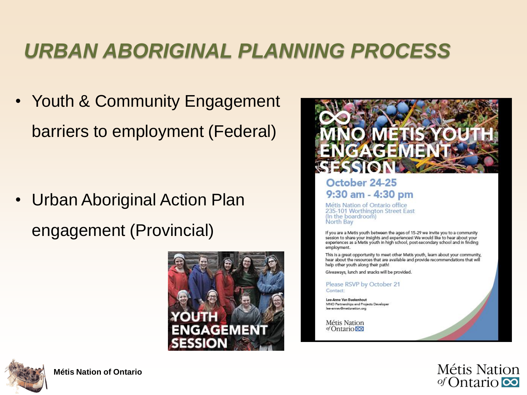## *URBAN ABORIGINAL PLANNING PROCESS*

• Youth & Community Engagement barriers to employment (Federal)

• Urban Aboriginal Action Plan engagement (Provincial)





#### October 24-25 9:30 am - 4:30 pm

Métis Nation of Ontario office 235-101 Worthington Street East (In the boardroom) North Bay

If you are a Metis youth between the ages of 15-29 we invite you to a community session to share your insights and experiences! We would like to hear about your experiences as a Metis youth in high school, post-secondary school and in finding employment.

This is a great opportunity to meet other Metis youth, learn about your community, hear about the resources that are available and provide recommendations that will help other youth along their path!

Giveaways, lunch and snacks will be provided.

Please RSVP by October 21 Contact:

Lee-Anne Van Buekenhout MNO Partnerships and Projects Developer lee-annev@metisnation.org

Métis Nation of Ontario<sup>co</sup>



Métis Nation of Ontario  $\infty$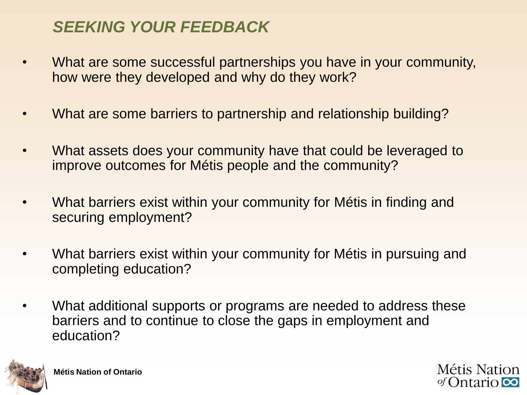#### *SEEKING YOUR FEEDBACK*

- What are some successful partnerships you have in your community, how were they developed and why do they work?
- What are some barriers to partnership and relationship building?
- What assets does your community have that could be leveraged to improve outcomes for Métis people and the community?
- What barriers exist within your community for Métis in finding and securing employment?
- What barriers exist within your community for Métis in pursuing and completing education?
- What additional supports or programs are needed to address these barriers and to continue to close the gaps in employment and education?